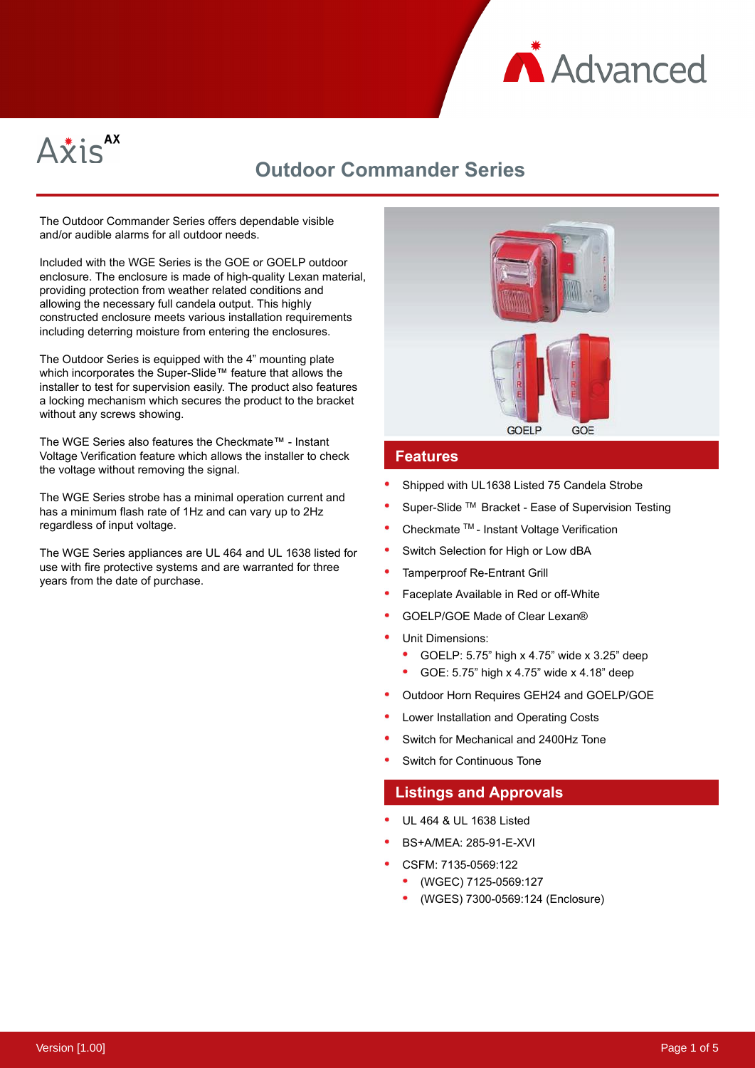



# **Outdoor Commander Series**

The Outdoor Commander Series offers dependable visible and/or audible alarms for all outdoor needs.

Included with the WGE Series is the GOE or GOELP outdoor enclosure. The enclosure is made of high-quality Lexan material, providing protection from weather related conditions and allowing the necessary full candela output. This highly constructed enclosure meets various installation requirements including deterring moisture from entering the enclosures.

The Outdoor Series is equipped with the 4" mounting plate which incorporates the Super-Slide™ feature that allows the installer to test for supervision easily. The product also features a locking mechanism which secures the product to the bracket without any screws showing.

The WGE Series also features the Checkmate™ - Instant Voltage Verification feature which allows the installer to check the voltage without removing the signal.

The WGE Series strobe has a minimal operation current and has a minimum flash rate of 1Hz and can vary up to 2Hz regardless of input voltage.

The WGE Series appliances are UL 464 and UL 1638 listed for use with fire protective systems and are warranted for three years from the date of purchase.



### **Features**

- Shipped with UL1638 Listed 75 Candela Strobe
- Super-Slide TM Bracket Ease of Supervision Testing
- Checkmate TM Instant Voltage Verification
- Switch Selection for High or Low dBA
- Tamperproof Re-Entrant Grill
- Faceplate Available in Red or off-White
- GOELP/GOE Made of Clear Lexan®
- Unit Dimensions:
	- GOELP: 5.75" high x 4.75" wide x 3.25" deep
	- GOE: 5.75" high x 4.75" wide x 4.18" deep
- Outdoor Horn Requires GEH24 and GOELP/GOE
- Lower Installation and Operating Costs
- Switch for Mechanical and 2400Hz Tone
- Switch for Continuous Tone

### **Listings and Approvals**

- UL 464 & UL 1638 Listed
- BS+A/MEA: 285-91-E-XVI
- CSFM: 7135-0569:122
	- (WGEC) 7125-0569:127
	- (WGES) 7300-0569:124 (Enclosure)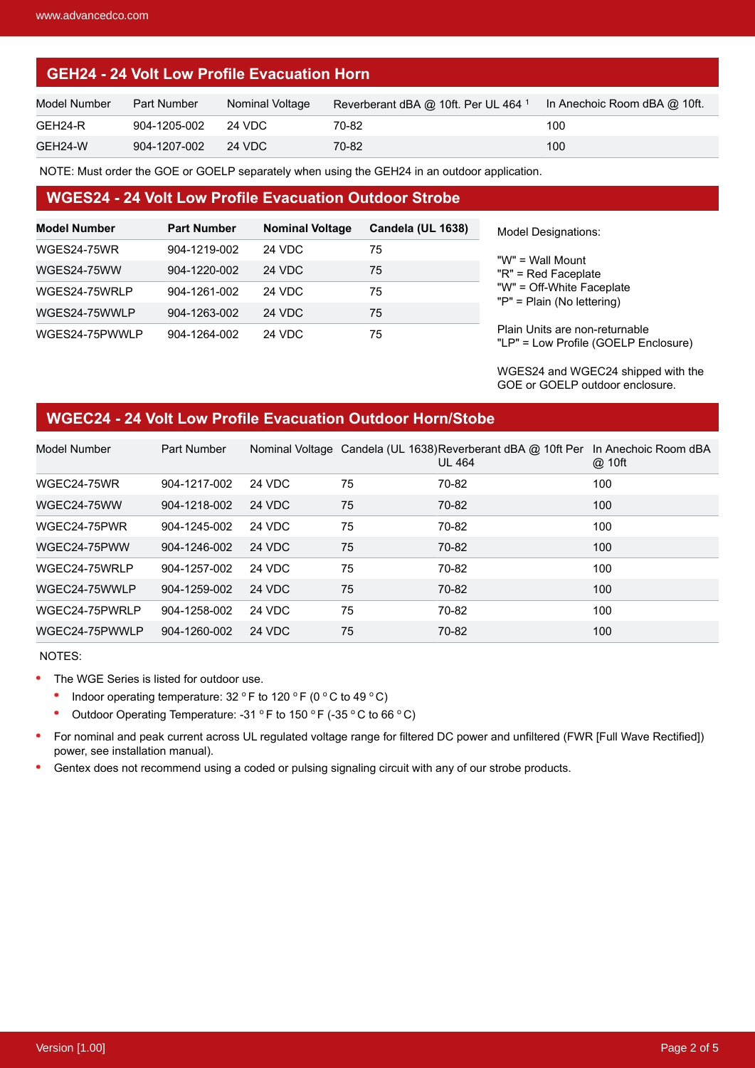## **GEH24 - 24 Volt Low Profile Evacuation Horn**

| Model Number | <b>Part Number</b> | Nominal Voltage | Reverberant dBA @ 10ft. Per UL 464 <sup>1</sup> | ln Anechoic Room dBA @ 10ft. |
|--------------|--------------------|-----------------|-------------------------------------------------|------------------------------|
| GEH24-R      | 904-1205-002       | 24 VDC          | 70-82                                           | 100                          |
| GEH24-W      | 904-1207-002       | $-24$ VDC       | 70-82                                           | 100                          |

NOTE: Must order the GOE or GOELP separately when using the GEH24 in an outdoor application.

#### **WGES24 - 24 Volt Low Profile Evacuation Outdoor Strobe**

| <b>Model Number</b> | <b>Part Number</b> | <b>Nominal Voltage</b> | Candela (UL 1638) |
|---------------------|--------------------|------------------------|-------------------|
| WGES24-75WR         | 904-1219-002       | <b>24 VDC</b>          | 75                |
| WGES24-75WW         | 904-1220-002       | <b>24 VDC</b>          | 75                |
| WGES24-75WRLP       | 904-1261-002       | 24 VDC                 | 75                |
| WGES24-75WWLP       | 904-1263-002       | <b>24 VDC</b>          | 75                |
| WGES24-75PWWLP      | 904-1264-002       | <b>24 VDC</b>          | 75                |

del Designations:

" = Wall Mount " = Red Faceplate " = Off-White Faceplate " = Plain (No lettering)

ain Units are non-returnable "LP" = Low Profile (GOELP Enclosure)

WGES24 and WGEC24 shipped with the GOE or GOELP outdoor enclosure.

## **WGEC24 - 24 Volt Low Profile Evacuation Outdoor Horn/Stobe**

| Model Number   | Part Number  |               |    | Nominal Voltage Candela (UL 1638) Reverberant dBA @ 10ft Per<br><b>UL 464</b> | In Anechoic Room dBA<br>@ 10ft |
|----------------|--------------|---------------|----|-------------------------------------------------------------------------------|--------------------------------|
| WGEC24-75WR    | 904-1217-002 | 24 VDC        | 75 | 70-82                                                                         | 100                            |
| WGEC24-75WW    | 904-1218-002 | <b>24 VDC</b> | 75 | 70-82                                                                         | 100                            |
| WGEC24-75PWR   | 904-1245-002 | <b>24 VDC</b> | 75 | 70-82                                                                         | 100                            |
| WGEC24-75PWW   | 904-1246-002 | <b>24 VDC</b> | 75 | 70-82                                                                         | 100                            |
| WGEC24-75WRLP  | 904-1257-002 | 24 VDC        | 75 | 70-82                                                                         | 100                            |
| WGEC24-75WWLP  | 904-1259-002 | <b>24 VDC</b> | 75 | 70-82                                                                         | 100                            |
| WGEC24-75PWRLP | 904-1258-002 | <b>24 VDC</b> | 75 | 70-82                                                                         | 100                            |
| WGEC24-75PWWLP | 904-1260-002 | <b>24 VDC</b> | 75 | 70-82                                                                         | 100                            |

NOTES:

- $\bullet$ The WGE Series is listed for outdoor use.
	- $\bullet$ Indoor operating temperature:  $32 °F$  to  $120 °F$  (0 °C to  $49 °C$ )
	- Outdoor Operating Temperature: -31  $\,^{\circ}$  F to 150  $\,^{\circ}$  F (-35  $\,^{\circ}$  C to 66  $\,^{\circ}$  C)
- $\bullet$ For nominal and peak current across UL regulated voltage range for filtered DC power and unfiltered (FWR [Full Wave Rectified]) power, see installation manual).
- $\bullet$ Gentex does not recommend using a coded or pulsing signaling circuit with any of our strobe products.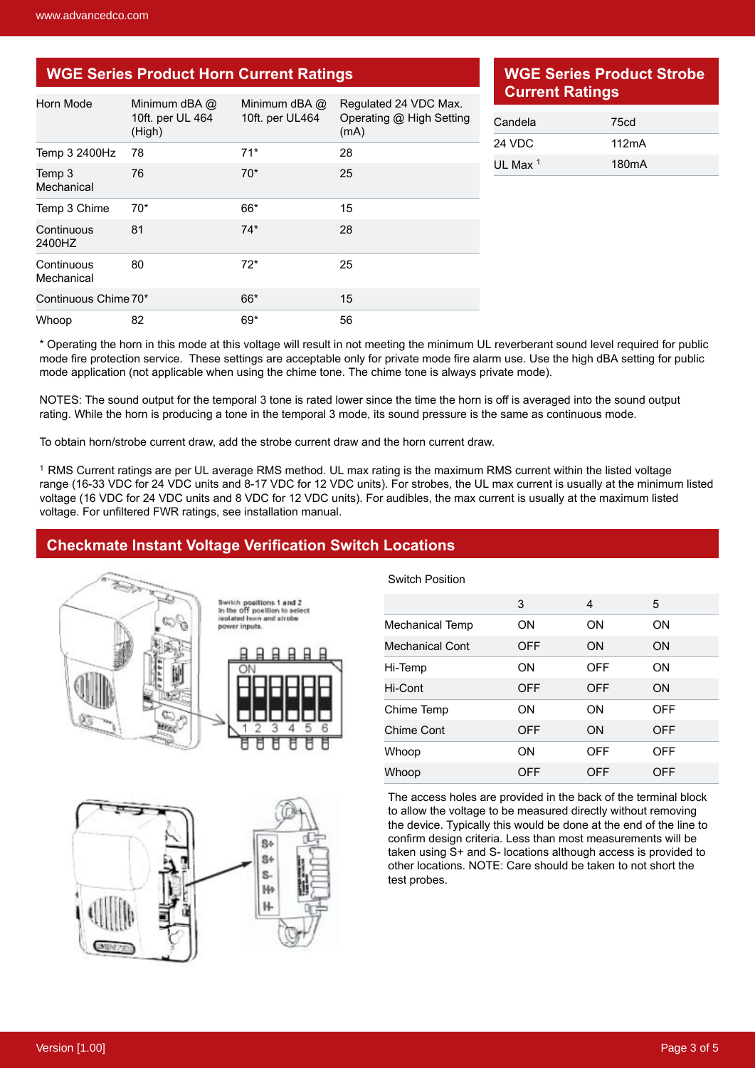# **WGE Series Product Horn Current Ratings**

| Horn Mode                | Minimum dBA @<br>10ft. per UL 464<br>(High) | Minimum dBA @<br>10ft. per UL464 | Regulated 24 VDC Max.<br>Operating @ High Setting<br>(mA) |
|--------------------------|---------------------------------------------|----------------------------------|-----------------------------------------------------------|
| Temp 3 2400Hz            | 78                                          | $71*$                            | 28                                                        |
| Temp 3<br>Mechanical     | 76                                          | $70*$                            | 25                                                        |
| Temp 3 Chime             | $70*$                                       | 66*                              | 15                                                        |
| Continuous<br>2400HZ     | 81                                          | $74*$                            | 28                                                        |
| Continuous<br>Mechanical | 80                                          | $72*$                            | 25                                                        |
| Continuous Chime 70*     |                                             | 66*                              | 15                                                        |
| Whoop                    | 82                                          | 69*                              | 56                                                        |

### **WGE Series Product Strobe Current Ratings**

| Candela             | 75cd               |
|---------------------|--------------------|
| 24 VDC              | 112mA              |
| UL Max <sup>1</sup> | 180 <sub>m</sub> A |

\* Operating the horn in this mode at this voltage will result in not meeting the minimum UL reverberant sound level required for public mode fire protection service. These settings are acceptable only for private mode fire alarm use. Use the high dBA setting for public mode application (not applicable when using the chime tone. The chime tone is always private mode).

NOTES: The sound output for the temporal 3 tone is rated lower since the time the horn is off is averaged into the sound output rating. While the horn is producing a tone in the temporal 3 mode, its sound pressure is the same as continuous mode.

To obtain horn/strobe current draw, add the strobe current draw and the horn current draw.

<sup>1</sup> RMS Current ratings are per UL average RMS method. UL max rating is the maximum RMS current within the listed voltage range (16-33 VDC for 24 VDC units and 8-17 VDC for 12 VDC units). For strobes, the UL max current is usually at the minimum listed voltage (16 VDC for 24 VDC units and 8 VDC for 12 VDC units). For audibles, the max current is usually at the maximum listed voltage. For unfiltered FWR ratings, see installation manual.

### **Checkmate Instant Voltage Verification Switch Locations**



Switch positions 1 and 2<br>in the off position to select n and strobe



Switch Position

|                        | 3          | 4          | 5          |
|------------------------|------------|------------|------------|
| Mechanical Temp        | ON         | ON         | ON         |
| <b>Mechanical Cont</b> | <b>OFF</b> | <b>ON</b>  | <b>ON</b>  |
| Hi-Temp                | ON         | <b>OFF</b> | ON         |
| Hi-Cont                | <b>OFF</b> | <b>OFF</b> | ON         |
| Chime Temp             | ON         | ON         | <b>OFF</b> |
| Chime Cont             | <b>OFF</b> | ON         | <b>OFF</b> |
| Whoop                  | ON         | <b>OFF</b> | OFF        |
| Whoop                  | OFF        | OFF        | OFF        |

The access holes are provided in the back of the terminal block to allow the voltage to be measured directly without removing the device. Typically this would be done at the end of the line to confirm design criteria. Less than most measurements will be taken using S+ and S- locations although access is provided to other locations. NOTE: Care should be taken to not short the test probes.

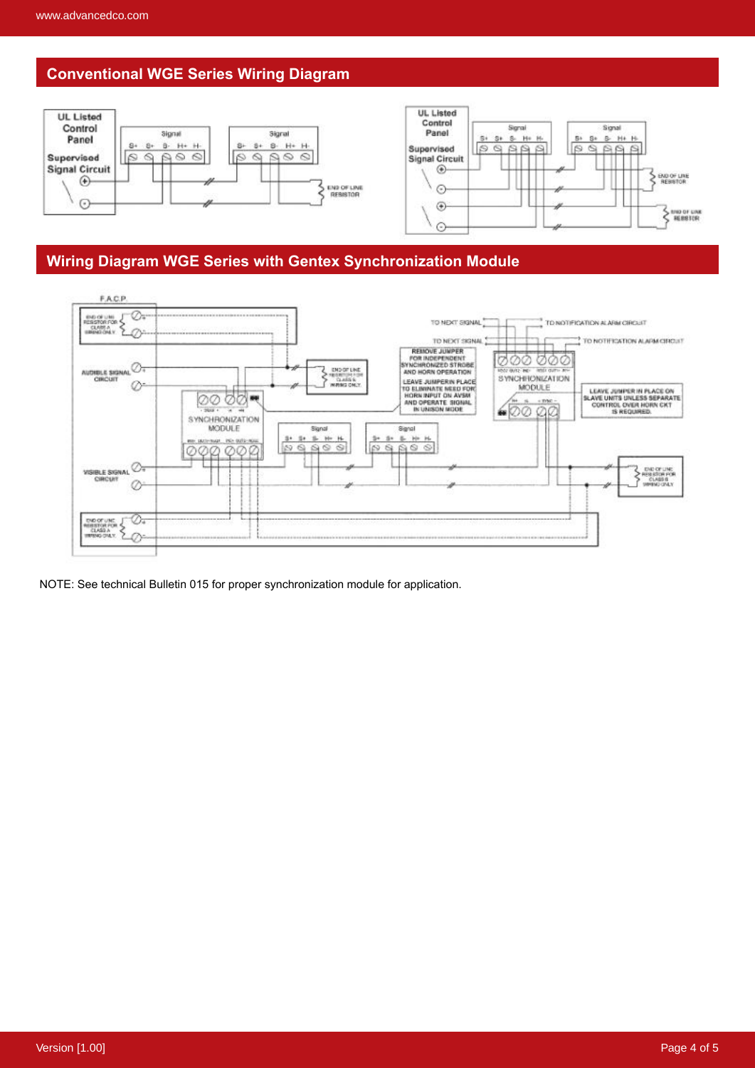# **Conventional WGE Series Wiring Diagram**



### **Wiring Diagram WGE Series with Gentex Synchronization Module**



NOTE: See technical Bulletin 015 for proper synchronization module for application.